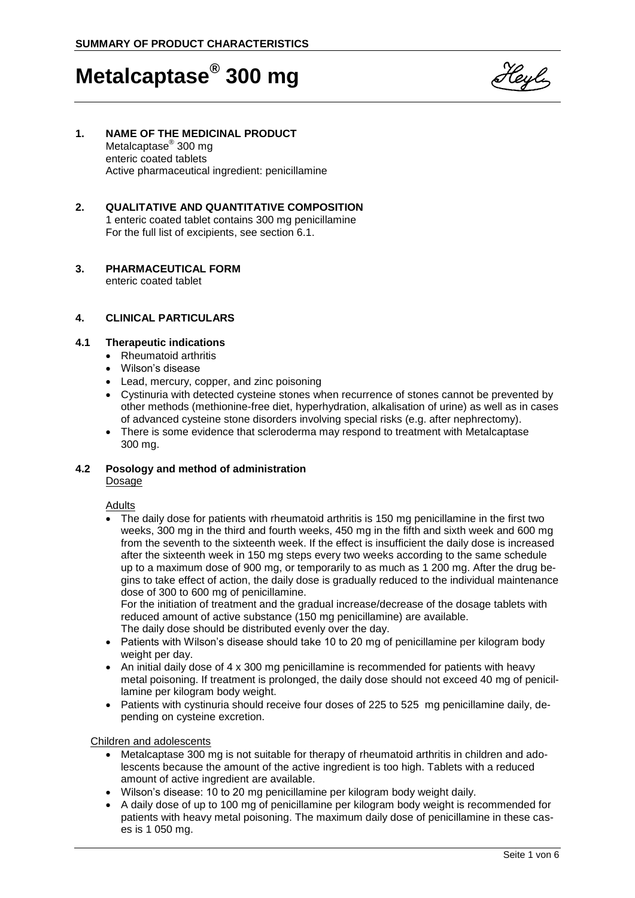

# **1. NAME OF THE MEDICINAL PRODUCT**

Metalcaptase<sup>®</sup> 300 mg enteric coated tablets Active pharmaceutical ingredient: penicillamine

# **2. QUALITATIVE AND QUANTITATIVE COMPOSITION**

1 enteric coated tablet contains 300 mg penicillamine For the full list of excipients, see section 6.1.

# **3. PHARMACEUTICAL FORM**

enteric coated tablet

### **4. CLINICAL PARTICULARS**

### **4.1 Therapeutic indications**

- Rheumatoid arthritis
- Wilson's disease
- Lead, mercury, copper, and zinc poisoning
- Cystinuria with detected cysteine stones when recurrence of stones cannot be prevented by other methods (methionine-free diet, hyperhydration, alkalisation of urine) as well as in cases of advanced cysteine stone disorders involving special risks (e.g. after nephrectomy).
- There is some evidence that scleroderma may respond to treatment with Metalcaptase 300 mg.

# **4.2 Posology and method of administration**

Dosage

## Adults

 The daily dose for patients with rheumatoid arthritis is 150 mg penicillamine in the first two weeks, 300 mg in the third and fourth weeks, 450 mg in the fifth and sixth week and 600 mg from the seventh to the sixteenth week. If the effect is insufficient the daily dose is increased after the sixteenth week in 150 mg steps every two weeks according to the same schedule up to a maximum dose of 900 mg, or temporarily to as much as 1 200 mg. After the drug begins to take effect of action, the daily dose is gradually reduced to the individual maintenance dose of 300 to 600 mg of penicillamine.

For the initiation of treatment and the gradual increase/decrease of the dosage tablets with reduced amount of active substance (150 mg penicillamine) are available. The daily dose should be distributed evenly over the day.

- Patients with Wilson's disease should take 10 to 20 mg of penicillamine per kilogram body weight per day.
- An initial daily dose of 4 x 300 mg penicillamine is recommended for patients with heavy metal poisoning. If treatment is prolonged, the daily dose should not exceed 40 mg of penicillamine per kilogram body weight.
- Patients with cystinuria should receive four doses of 225 to 525 mg penicillamine daily, depending on cysteine excretion.

#### Children and adolescents

- Metalcaptase 300 mg is not suitable for therapy of rheumatoid arthritis in children and adolescents because the amount of the active ingredient is too high. Tablets with a reduced amount of active ingredient are available.
- Wilson's disease: 10 to 20 mg penicillamine per kilogram body weight daily.
- A daily dose of up to 100 mg of penicillamine per kilogram body weight is recommended for patients with heavy metal poisoning. The maximum daily dose of penicillamine in these cases is 1 050 mg.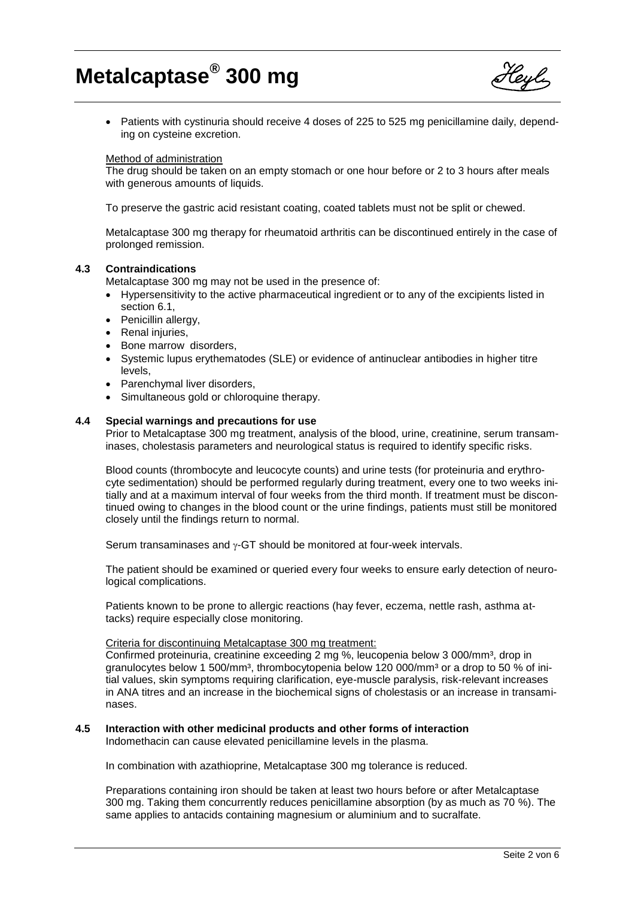

• Patients with cystinuria should receive 4 doses of 225 to 525 mg penicillamine daily, depending on cysteine excretion.

#### Method of administration

The drug should be taken on an empty stomach or one hour before or 2 to 3 hours after meals with generous amounts of liquids.

To preserve the gastric acid resistant coating, coated tablets must not be split or chewed.

Metalcaptase 300 mg therapy for rheumatoid arthritis can be discontinued entirely in the case of prolonged remission.

#### **4.3 Contraindications**

Metalcaptase 300 mg may not be used in the presence of:

- Hypersensitivity to the active pharmaceutical ingredient or to any of the excipients listed in section 6.1,
- Penicillin allergy,
- Renal injuries,
- Bone marrow disorders,
- Systemic lupus erythematodes (SLE) or evidence of antinuclear antibodies in higher titre levels,
- Parenchymal liver disorders,
- Simultaneous gold or chloroquine therapy.

#### **4.4 Special warnings and precautions for use**

Prior to Metalcaptase 300 mg treatment, analysis of the blood, urine, creatinine, serum transaminases, cholestasis parameters and neurological status is required to identify specific risks.

Blood counts (thrombocyte and leucocyte counts) and urine tests (for proteinuria and erythrocyte sedimentation) should be performed regularly during treatment, every one to two weeks initially and at a maximum interval of four weeks from the third month. If treatment must be discontinued owing to changes in the blood count or the urine findings, patients must still be monitored closely until the findings return to normal.

Serum transaminases and  $\gamma$ -GT should be monitored at four-week intervals.

The patient should be examined or queried every four weeks to ensure early detection of neurological complications.

Patients known to be prone to allergic reactions (hay fever, eczema, nettle rash, asthma attacks) require especially close monitoring.

#### Criteria for discontinuing Metalcaptase 300 mg treatment:

Confirmed proteinuria, creatinine exceeding 2 mg %, leucopenia below 3 000/mm<sup>3</sup>, drop in granulocytes below 1 500/mm<sup>3</sup>, thrombocytopenia below 120 000/mm<sup>3</sup> or a drop to 50 % of initial values, skin symptoms requiring clarification, eye-muscle paralysis, risk-relevant increases in ANA titres and an increase in the biochemical signs of cholestasis or an increase in transaminases.

#### **4.5 Interaction with other medicinal products and other forms of interaction**

Indomethacin can cause elevated penicillamine levels in the plasma.

In combination with azathioprine, Metalcaptase 300 mg tolerance is reduced.

Preparations containing iron should be taken at least two hours before or after Metalcaptase 300 mg. Taking them concurrently reduces penicillamine absorption (by as much as 70 %). The same applies to antacids containing magnesium or aluminium and to sucralfate.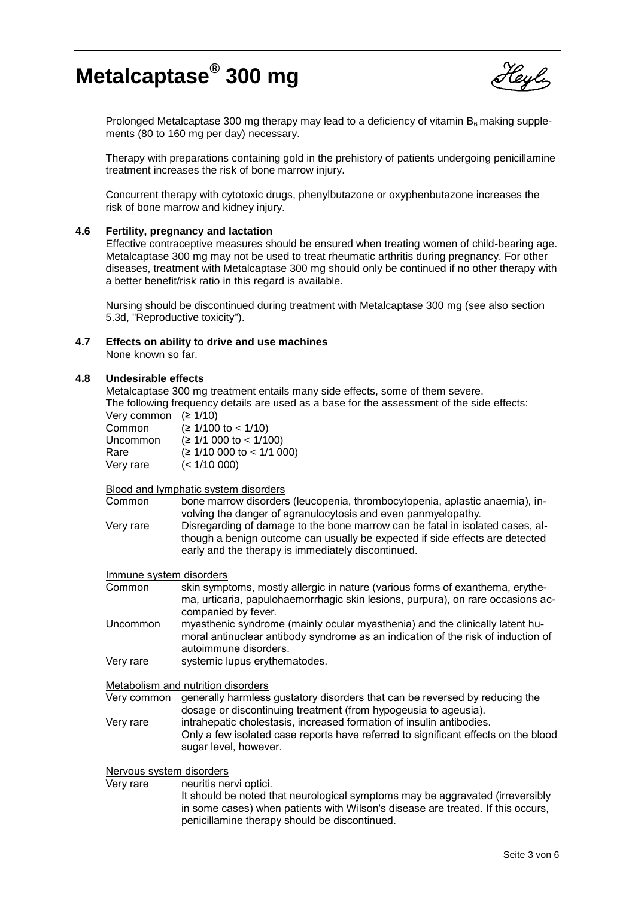

Prolonged Metalcaptase 300 mg therapy may lead to a deficiency of vitamin  $B<sub>6</sub>$  making supplements (80 to 160 mg per day) necessary.

Therapy with preparations containing gold in the prehistory of patients undergoing penicillamine treatment increases the risk of bone marrow injury.

Concurrent therapy with cytotoxic drugs, phenylbutazone or oxyphenbutazone increases the risk of bone marrow and kidney injury.

#### **4.6 Fertility, pregnancy and lactation**

Effective contraceptive measures should be ensured when treating women of child-bearing age. Metalcaptase 300 mg may not be used to treat rheumatic arthritis during pregnancy. For other diseases, treatment with Metalcaptase 300 mg should only be continued if no other therapy with a better benefit/risk ratio in this regard is available.

Nursing should be discontinued during treatment with Metalcaptase 300 mg (see also section 5.3d, "Reproductive toxicity").

**4.7 Effects on ability to drive and use machines** None known so far.

#### **4.8 Undesirable effects**

Metalcaptase 300 mg treatment entails many side effects, some of them severe. The following frequency details are used as a base for the assessment of the side effects:

| Very common $(21/10)$       |
|-----------------------------|
| $(≥ 1/100$ to < 1/10)       |
| $(≥ 1/1 000$ to < 1/100)    |
| $(≥ 1/10 000$ to < 1/1 000) |
| (< 1/10 000)                |
|                             |

Blood and lymphatic system disorders

Common bone marrow disorders (leucopenia, thrombocytopenia, aplastic anaemia), involving the danger of agranulocytosis and even panmyelopathy. Very rare Disregarding of damage to the bone marrow can be fatal in isolated cases, although a benign outcome can usually be expected if side effects are detected early and the therapy is immediately discontinued.

#### Immune system disorders

| skin symptoms, mostly allergic in nature (various forms of exanthema, erythe-   |
|---------------------------------------------------------------------------------|
| ma, urticaria, papulohaemorrhagic skin lesions, purpura), on rare occasions ac- |
| companied by fever.                                                             |
|                                                                                 |

Uncommon myasthenic syndrome (mainly ocular myasthenia) and the clinically latent humoral antinuclear antibody syndrome as an indication of the risk of induction of autoimmune disorders.

Very rare systemic lupus erythematodes.

Metabolism and nutrition disorders

Very common generally harmless gustatory disorders that can be reversed by reducing the dosage or discontinuing treatment (from hypogeusia to ageusia). Very rare intrahepatic cholestasis, increased formation of insulin antibodies.

Only a few isolated case reports have referred to significant effects on the blood sugar level, however.

# Nervous system disorders

Very rare neuritis nervi optici. It should be noted that neurological symptoms may be aggravated (irreversibly in some cases) when patients with Wilson's disease are treated. If this occurs, penicillamine therapy should be discontinued.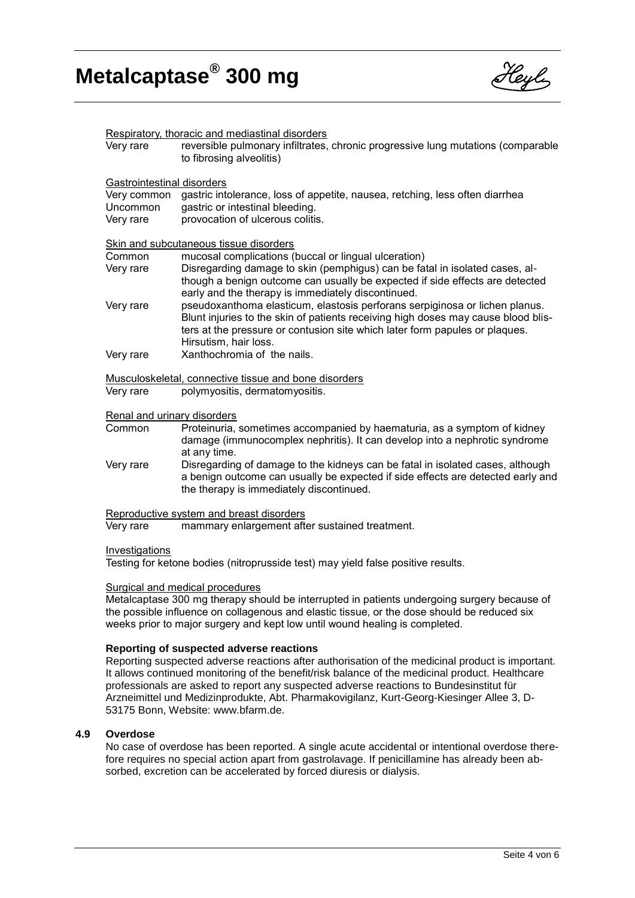

| Very rare                                             | Respiratory, thoracic and mediastinal disorders<br>reversible pulmonary infiltrates, chronic progressive lung mutations (comparable<br>to fibrosing alveolitis)                                                                                                          |  |
|-------------------------------------------------------|--------------------------------------------------------------------------------------------------------------------------------------------------------------------------------------------------------------------------------------------------------------------------|--|
| Gastrointestinal disorders                            |                                                                                                                                                                                                                                                                          |  |
| Very common<br>Uncommon<br>Very rare                  | gastric intolerance, loss of appetite, nausea, retching, less often diarrhea<br>gastric or intestinal bleeding.<br>provocation of ulcerous colitis.                                                                                                                      |  |
| Skin and subcutaneous tissue disorders                |                                                                                                                                                                                                                                                                          |  |
| Common                                                | mucosal complications (buccal or lingual ulceration)                                                                                                                                                                                                                     |  |
| Very rare                                             | Disregarding damage to skin (pemphigus) can be fatal in isolated cases, al-<br>though a benign outcome can usually be expected if side effects are detected<br>early and the therapy is immediately discontinued.                                                        |  |
| Very rare                                             | pseudoxanthoma elasticum, elastosis perforans serpiginosa or lichen planus.<br>Blunt injuries to the skin of patients receiving high doses may cause blood blis-<br>ters at the pressure or contusion site which later form papules or plaques.<br>Hirsutism, hair loss. |  |
| Very rare                                             | Xanthochromia of the nails.                                                                                                                                                                                                                                              |  |
| Musculoskeletal, connective tissue and bone disorders |                                                                                                                                                                                                                                                                          |  |
| Very rare                                             | polymyositis, dermatomyositis.                                                                                                                                                                                                                                           |  |
| Renal and urinary disorders                           |                                                                                                                                                                                                                                                                          |  |
| Common                                                | Proteinuria, sometimes accompanied by haematuria, as a symptom of kidney<br>damage (immunocomplex nephritis). It can develop into a nephrotic syndrome<br>at any time.                                                                                                   |  |
| Very rare                                             | Disregarding of damage to the kidneys can be fatal in isolated cases, although<br>a benign outcome can usually be expected if side effects are detected early and<br>the therapy is immediately discontinued.                                                            |  |

Reproductive system and breast disorders

Very rare mammary enlargement after sustained treatment.

#### Investigations

Testing for ketone bodies (nitroprusside test) may yield false positive results.

#### Surgical and medical procedures

Metalcaptase 300 mg therapy should be interrupted in patients undergoing surgery because of the possible influence on collagenous and elastic tissue, or the dose should be reduced six weeks prior to major surgery and kept low until wound healing is completed.

#### **Reporting of suspected adverse reactions**

Reporting suspected adverse reactions after authorisation of the medicinal product is important. It allows continued monitoring of the benefit/risk balance of the medicinal product. Healthcare professionals are asked to report any suspected adverse reactions to Bundesinstitut für Arzneimittel und Medizinprodukte, Abt. Pharmakovigilanz, Kurt-Georg-Kiesinger Allee 3, D-53175 Bonn, Website: www.bfarm.de.

#### **4.9 Overdose**

No case of overdose has been reported. A single acute accidental or intentional overdose therefore requires no special action apart from gastrolavage. If penicillamine has already been absorbed, excretion can be accelerated by forced diuresis or dialysis.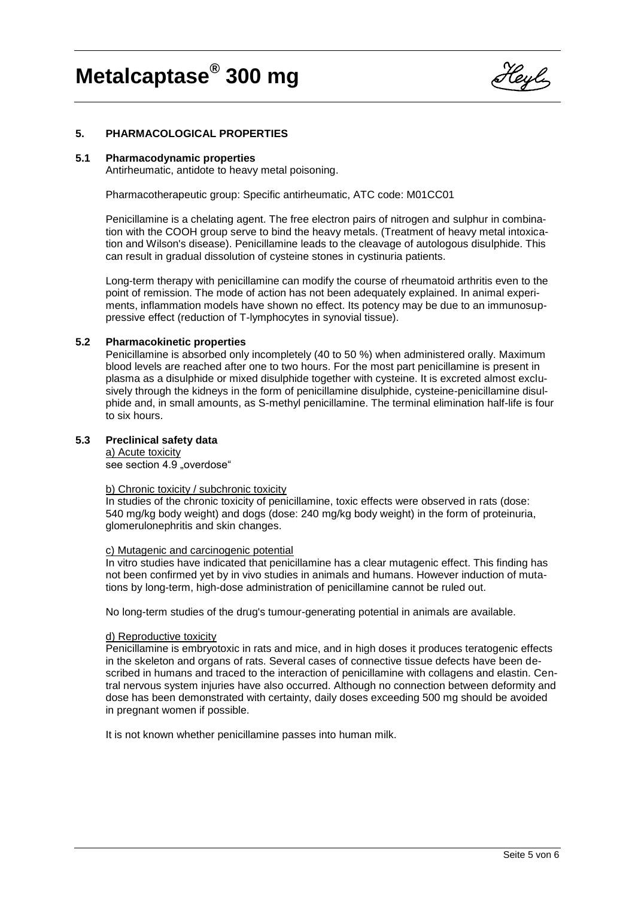

### **5. PHARMACOLOGICAL PROPERTIES**

#### **5.1 Pharmacodynamic properties**

Antirheumatic, antidote to heavy metal poisoning.

Pharmacotherapeutic group: Specific antirheumatic, ATC code: M01CC01

Penicillamine is a chelating agent. The free electron pairs of nitrogen and sulphur in combination with the COOH group serve to bind the heavy metals. (Treatment of heavy metal intoxication and Wilson's disease). Penicillamine leads to the cleavage of autologous disulphide. This can result in gradual dissolution of cysteine stones in cystinuria patients.

Long-term therapy with penicillamine can modify the course of rheumatoid arthritis even to the point of remission. The mode of action has not been adequately explained. In animal experiments, inflammation models have shown no effect. Its potency may be due to an immunosuppressive effect (reduction of T-lymphocytes in synovial tissue).

#### **5.2 Pharmacokinetic properties**

Penicillamine is absorbed only incompletely (40 to 50 %) when administered orally. Maximum blood levels are reached after one to two hours. For the most part penicillamine is present in plasma as a disulphide or mixed disulphide together with cysteine. It is excreted almost exclusively through the kidneys in the form of penicillamine disulphide, cysteine-penicillamine disulphide and, in small amounts, as S-methyl penicillamine. The terminal elimination half-life is four to six hours.

#### **5.3 Preclinical safety data**

a) Acute toxicity see section 4.9 .overdose"

#### b) Chronic toxicity / subchronic toxicity

In studies of the chronic toxicity of penicillamine, toxic effects were observed in rats (dose: 540 mg/kg body weight) and dogs (dose: 240 mg/kg body weight) in the form of proteinuria, glomerulonephritis and skin changes.

#### c) Mutagenic and carcinogenic potential

In vitro studies have indicated that penicillamine has a clear mutagenic effect. This finding has not been confirmed yet by in vivo studies in animals and humans. However induction of mutations by long-term, high-dose administration of penicillamine cannot be ruled out.

No long-term studies of the drug's tumour-generating potential in animals are available.

#### d) Reproductive toxicity

Penicillamine is embryotoxic in rats and mice, and in high doses it produces teratogenic effects in the skeleton and organs of rats. Several cases of connective tissue defects have been described in humans and traced to the interaction of penicillamine with collagens and elastin. Central nervous system injuries have also occurred. Although no connection between deformity and dose has been demonstrated with certainty, daily doses exceeding 500 mg should be avoided in pregnant women if possible.

It is not known whether penicillamine passes into human milk.